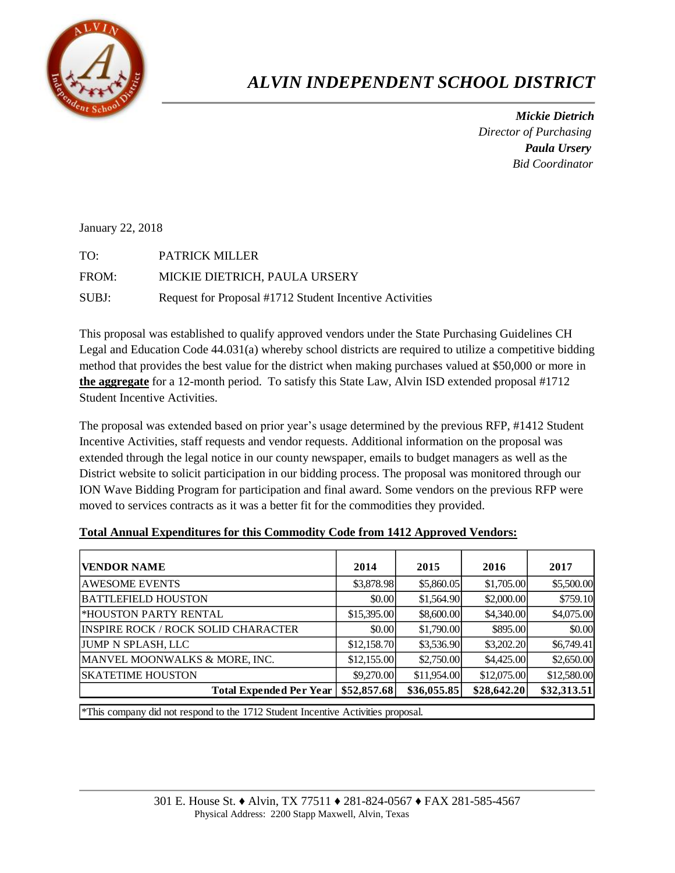

## *ALVIN INDEPENDENT SCHOOL DISTRICT*

 *Mickie Dietrich Director of Purchasing Paula Ursery Bid Coordinator*

January 22, 2018

TO: PATRICK MILLER FROM: MICKIE DIETRICH, PAULA URSERY SUBJ: Request for Proposal #1712 Student Incentive Activities

This proposal was established to qualify approved vendors under the State Purchasing Guidelines CH Legal and Education Code 44.031(a) whereby school districts are required to utilize a competitive bidding method that provides the best value for the district when making purchases valued at \$50,000 or more in **the aggregate** for a 12-month period. To satisfy this State Law, Alvin ISD extended proposal #1712 Student Incentive Activities.

The proposal was extended based on prior year's usage determined by the previous RFP, #1412 Student Incentive Activities, staff requests and vendor requests. Additional information on the proposal was extended through the legal notice in our county newspaper, emails to budget managers as well as the District website to solicit participation in our bidding process. The proposal was monitored through our ION Wave Bidding Program for participation and final award. Some vendors on the previous RFP were moved to services contracts as it was a better fit for the commodities they provided.

| <b>VENDOR NAME</b>                         | 2014        | 2015        | 2016        | 2017        |
|--------------------------------------------|-------------|-------------|-------------|-------------|
|                                            |             |             |             |             |
| <b>AWESOME EVENTS</b>                      | \$3,878.98  | \$5,860.05  | \$1,705.00  | \$5,500.00  |
| <b>BATTLEFIELD HOUSTON</b>                 | \$0.00      | \$1,564.90  | \$2,000.00  | \$759.10    |
| <b>*HOUSTON PARTY RENTAL</b>               | \$15,395.00 | \$8,600.00  | \$4,340.00  | \$4,075.00  |
| <b>INSPIRE ROCK / ROCK SOLID CHARACTER</b> | \$0.00      | \$1,790.00  | \$895.00    | \$0.00      |
| <b>JUMP N SPLASH, LLC</b>                  | \$12,158.70 | \$3,536.90  | \$3,202.20  | \$6,749.41  |
| MANVEL MOONWALKS & MORE, INC.              | \$12,155.00 | \$2,750.00  | \$4,425.00  | \$2,650.00  |
| <b>SKATETIME HOUSTON</b>                   | \$9,270.00  | \$11,954.00 | \$12,075.00 | \$12,580.00 |
| <b>Total Expended Per Year</b>             | \$52,857.68 | \$36,055.85 | \$28,642.20 | \$32,313.51 |
|                                            |             |             |             |             |

## **Total Annual Expenditures for this Commodity Code from 1412 Approved Vendors:**

\*This company did not respond to the 1712 Student Incentive Activities proposal.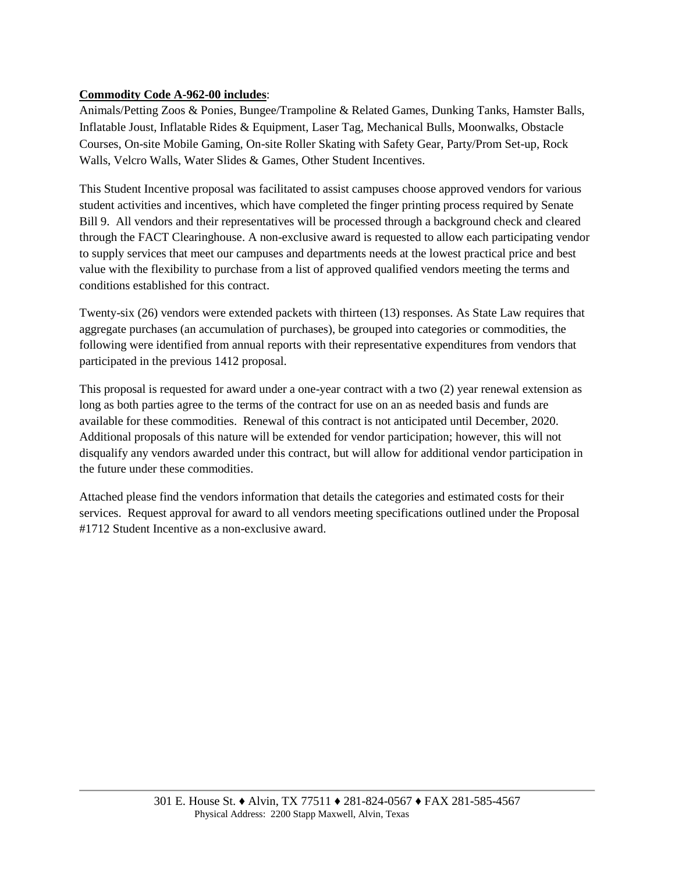## **Commodity Code A-962-00 includes**:

Animals/Petting Zoos & Ponies, Bungee/Trampoline & Related Games, Dunking Tanks, Hamster Balls, Inflatable Joust, Inflatable Rides & Equipment, Laser Tag, Mechanical Bulls, Moonwalks, Obstacle Courses, On-site Mobile Gaming, On-site Roller Skating with Safety Gear, Party/Prom Set-up, Rock Walls, Velcro Walls, Water Slides & Games, Other Student Incentives.

This Student Incentive proposal was facilitated to assist campuses choose approved vendors for various student activities and incentives, which have completed the finger printing process required by Senate Bill 9. All vendors and their representatives will be processed through a background check and cleared through the FACT Clearinghouse. A non-exclusive award is requested to allow each participating vendor to supply services that meet our campuses and departments needs at the lowest practical price and best value with the flexibility to purchase from a list of approved qualified vendors meeting the terms and conditions established for this contract.

Twenty-six (26) vendors were extended packets with thirteen (13) responses. As State Law requires that aggregate purchases (an accumulation of purchases), be grouped into categories or commodities, the following were identified from annual reports with their representative expenditures from vendors that participated in the previous 1412 proposal.

This proposal is requested for award under a one-year contract with a two (2) year renewal extension as long as both parties agree to the terms of the contract for use on an as needed basis and funds are available for these commodities. Renewal of this contract is not anticipated until December, 2020. Additional proposals of this nature will be extended for vendor participation; however, this will not disqualify any vendors awarded under this contract, but will allow for additional vendor participation in the future under these commodities.

Attached please find the vendors information that details the categories and estimated costs for their services. Request approval for award to all vendors meeting specifications outlined under the Proposal #1712 Student Incentive as a non-exclusive award.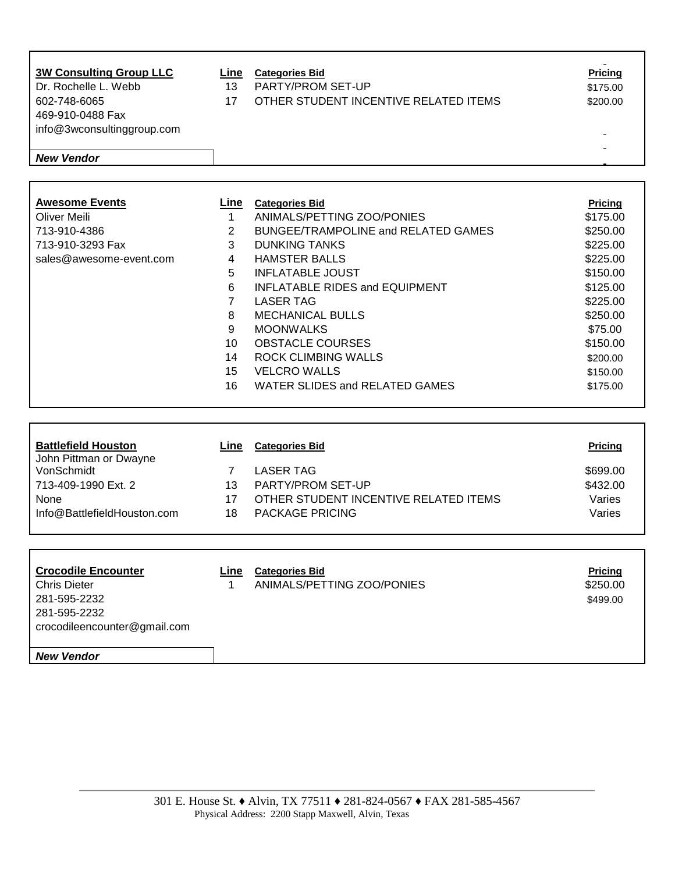| $\Delta t = \Delta t$ and $\Delta t$                 | ⇁         | $\overline{1}$                                      | $\sim$                     |
|------------------------------------------------------|-----------|-----------------------------------------------------|----------------------------|
| <b>Battlefield Houston</b><br>John Pittman or Dwayne | Line      | <b>Categories Bid</b>                               | Pricing                    |
|                                                      |           |                                                     |                            |
|                                                      |           |                                                     |                            |
|                                                      | 16        | <b>WATER SLIDES and RELATED GAMES</b>               | \$175.00                   |
|                                                      | 15        | <b>VELCRO WALLS</b>                                 | \$150.00                   |
|                                                      | 14        | <b>ROCK CLIMBING WALLS</b>                          | \$200.00                   |
|                                                      | 10        | <b>OBSTACLE COURSES</b>                             | \$150.00                   |
|                                                      | 9         | <b>MOONWALKS</b>                                    | \$75.00                    |
|                                                      | 8         | <b>MECHANICAL BULLS</b>                             | \$250.00                   |
|                                                      | 7         | <b>LASER TAG</b>                                    | \$225.00                   |
|                                                      | 6         | <b>INFLATABLE RIDES and EQUIPMENT</b>               | \$125.00                   |
|                                                      | 5         | <b>INFLATABLE JOUST</b>                             | \$150.00                   |
| sales@awesome-event.com                              | 4         | <b>HAMSTER BALLS</b>                                | \$225.00                   |
| 713-910-3293 Fax                                     | 3         | <b>DUNKING TANKS</b>                                | \$225.00                   |
| 713-910-4386                                         | 2         | <b>BUNGEE/TRAMPOLINE and RELATED GAMES</b>          | \$250.00                   |
| <b>Awesome Events</b><br><b>Oliver Meili</b>         | Line<br>1 | <b>Categories Bid</b><br>ANIMALS/PETTING ZOO/PONIES | <b>Pricing</b><br>\$175.00 |
|                                                      |           |                                                     |                            |
| <b>New Vendor</b>                                    |           |                                                     |                            |
|                                                      |           |                                                     |                            |
| info@3wconsultinggroup.com                           |           |                                                     |                            |
| 469-910-0488 Fax                                     |           |                                                     |                            |
| 602-748-6065                                         | 17        | OTHER STUDENT INCENTIVE RELATED ITEMS               | \$200.00                   |
| Dr. Rochelle L. Webb                                 | 13        | PARTY/PROM SET-UP                                   | \$175.00                   |
| <b>3W Consulting Group LLC</b>                       | Line      | <b>Categories Bid</b>                               | <b>Pricing</b>             |
|                                                      |           |                                                     |                            |

| JUINTI KUNGHUI DWAYNG       |    |                                       |          |
|-----------------------------|----|---------------------------------------|----------|
| VonSchmidt                  |    | LASER TAG                             | \$699.00 |
| 713-409-1990 Ext. 2         | 13 | PARTY/PROM SET-UP                     | \$432.00 |
| None                        |    | OTHER STUDENT INCENTIVE RELATED ITEMS | Varies   |
| Info@BattlefieldHouston.com | 18 | PACKAGE PRICING                       | Varies   |
|                             |    |                                       |          |

| <b>Crocodile Encounter</b><br><b>Chris Dieter</b><br>281-595-2232<br>281-595-2232<br>crocodileencounter@gmail.com | Line | <b>Categories Bid</b><br>ANIMALS/PETTING ZOO/PONIES | <b>Pricing</b><br>\$250.00<br>\$499.00 |
|-------------------------------------------------------------------------------------------------------------------|------|-----------------------------------------------------|----------------------------------------|
| <b>New Vendor</b>                                                                                                 |      |                                                     |                                        |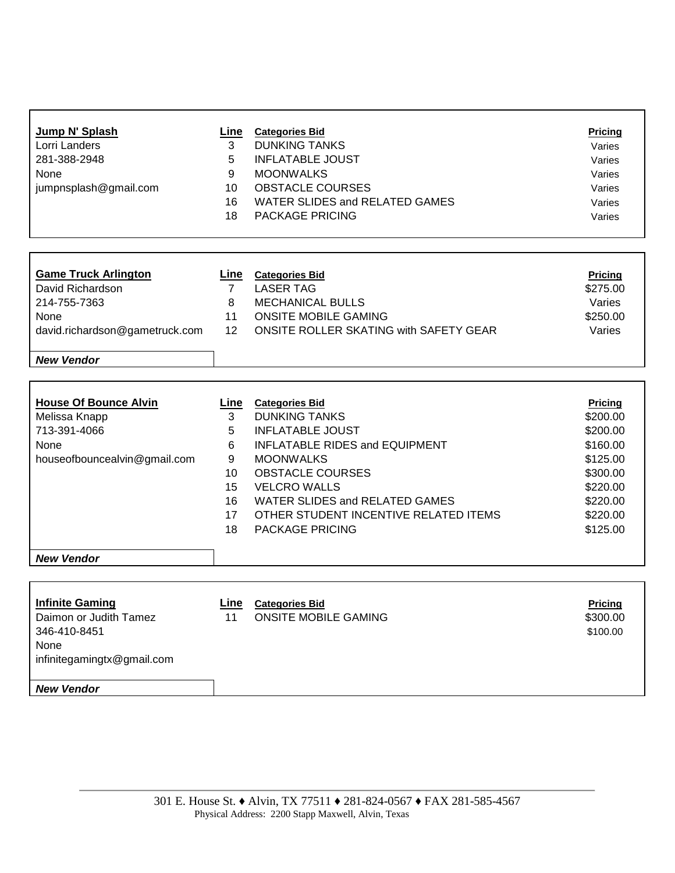| Jump N' Splash<br>Lorri Landers<br>281-388-2948<br>None<br>jumpnsplash@gmail.com                          | Line<br>3<br>5<br>9<br>10<br>16<br>18                       | <b>Categories Bid</b><br><b>DUNKING TANKS</b><br><b>INFLATABLE JOUST</b><br><b>MOONWALKS</b><br><b>OBSTACLE COURSES</b><br><b>WATER SLIDES and RELATED GAMES</b><br>PACKAGE PRICING                                                                                                   | <b>Pricing</b><br>Varies<br>Varies<br>Varies<br>Varies<br>Varies<br>Varies                                                 |
|-----------------------------------------------------------------------------------------------------------|-------------------------------------------------------------|---------------------------------------------------------------------------------------------------------------------------------------------------------------------------------------------------------------------------------------------------------------------------------------|----------------------------------------------------------------------------------------------------------------------------|
|                                                                                                           |                                                             |                                                                                                                                                                                                                                                                                       |                                                                                                                            |
|                                                                                                           |                                                             |                                                                                                                                                                                                                                                                                       |                                                                                                                            |
| <b>Game Truck Arlington</b><br>David Richardson<br>214-755-7363<br>None<br>david.richardson@gametruck.com | <u>Line</u><br>$\overline{7}$<br>8<br>11<br>12 <sup>2</sup> | <b>Categories Bid</b><br><b>LASER TAG</b><br>MECHANICAL BULLS<br><b>ONSITE MOBILE GAMING</b><br>ONSITE ROLLER SKATING with SAFETY GEAR                                                                                                                                                | <b>Pricing</b><br>\$275.00<br>Varies<br>\$250.00<br>Varies                                                                 |
| <b>New Vendor</b>                                                                                         |                                                             |                                                                                                                                                                                                                                                                                       |                                                                                                                            |
| <b>House Of Bounce Alvin</b><br>Melissa Knapp<br>713-391-4066<br>None<br>houseofbouncealvin@gmail.com     | Line<br>3<br>5<br>6<br>9<br>10<br>15<br>16<br>17<br>18      | <b>Categories Bid</b><br><b>DUNKING TANKS</b><br><b>INFLATABLE JOUST</b><br>INFLATABLE RIDES and EQUIPMENT<br><b>MOONWALKS</b><br><b>OBSTACLE COURSES</b><br><b>VELCRO WALLS</b><br>WATER SLIDES and RELATED GAMES<br>OTHER STUDENT INCENTIVE RELATED ITEMS<br><b>PACKAGE PRICING</b> | <b>Pricing</b><br>\$200.00<br>\$200.00<br>\$160.00<br>\$125.00<br>\$300.00<br>\$220.00<br>\$220.00<br>\$220.00<br>\$125.00 |
| <b>New Vendor</b>                                                                                         |                                                             |                                                                                                                                                                                                                                                                                       |                                                                                                                            |
| <b>Infinite Gaming</b><br>Daimon or Judith Tamez<br>346-410-8451<br>None<br>infinitegamingtx@gmail.com    | Line<br>11                                                  | <b>Categories Bid</b><br>ONSITE MOBILE GAMING                                                                                                                                                                                                                                         | <b>Pricing</b><br>\$300.00<br>\$100.00                                                                                     |
| <b>New Vendor</b>                                                                                         |                                                             |                                                                                                                                                                                                                                                                                       |                                                                                                                            |
|                                                                                                           |                                                             |                                                                                                                                                                                                                                                                                       |                                                                                                                            |

 $\Gamma$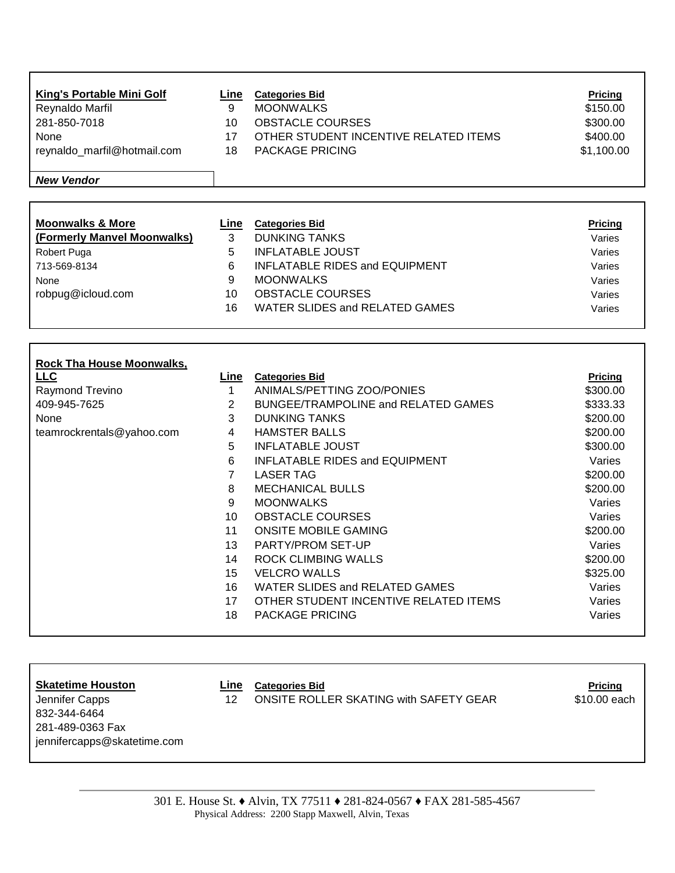| King's Portable Mini Golf   | Line | <b>Categories Bid</b>                 | <b>Pricing</b> |
|-----------------------------|------|---------------------------------------|----------------|
| Reynaldo Marfil             | 9    | <b>MOONWALKS</b>                      | \$150.00       |
| 281-850-7018                | 10   | <b>OBSTACLE COURSES</b>               | \$300.00       |
| None                        | 17   | OTHER STUDENT INCENTIVE RELATED ITEMS | \$400.00       |
| reynaldo_marfil@hotmail.com | 18   | <b>PACKAGE PRICING</b>                | \$1,100.00     |
|                             |      |                                       |                |
| <b>New Vendor</b>           |      |                                       |                |

| <b>Moonwalks &amp; More</b> | Line | <b>Categories Bid</b>                 | <b>Pricing</b> |
|-----------------------------|------|---------------------------------------|----------------|
| (Formerly Manvel Moonwalks) |      | <b>DUNKING TANKS</b>                  | Varies         |
| Robert Puga                 |      | <b>INFLATABLE JOUST</b>               | Varies         |
| 713-569-8134                | 6    | <b>INFLATABLE RIDES and EQUIPMENT</b> | Varies         |
| None                        | 9    | <b>MOONWALKS</b>                      | Varies         |
| robpug@icloud.com           | 10   | <b>OBSTACLE COURSES</b>               | Varies         |
|                             | 16   | WATER SLIDES and RELATED GAMES        | Varies         |
|                             |      |                                       |                |

| <b>Rock Tha House Moonwalks,</b> |                 |                                       |          |
|----------------------------------|-----------------|---------------------------------------|----------|
| LLC                              | Line            | <b>Categories Bid</b>                 | Pricing  |
| Raymond Trevino                  |                 | ANIMALS/PETTING ZOO/PONIES            | \$300.00 |
| 409-945-7625                     | 2               | BUNGEE/TRAMPOLINE and RELATED GAMES   | \$333.33 |
| None                             | 3               | <b>DUNKING TANKS</b>                  | \$200.00 |
| teamrockrentals@yahoo.com        | 4               | <b>HAMSTER BALLS</b>                  | \$200.00 |
|                                  | 5               | <b>INFLATABLE JOUST</b>               | \$300.00 |
|                                  | 6               | <b>INFLATABLE RIDES and EQUIPMENT</b> | Varies   |
|                                  | 7               | LASER TAG                             | \$200.00 |
|                                  | 8               | <b>MECHANICAL BULLS</b>               | \$200.00 |
|                                  | 9               | <b>MOONWALKS</b>                      | Varies   |
|                                  | 10 <sup>1</sup> | <b>OBSTACLE COURSES</b>               | Varies   |
|                                  | 11              | <b>ONSITE MOBILE GAMING</b>           | \$200.00 |
|                                  | 13              | PARTY/PROM SET-UP                     | Varies   |
|                                  | 14              | <b>ROCK CLIMBING WALLS</b>            | \$200.00 |
|                                  | 15              | <b>VELCRO WALLS</b>                   | \$325.00 |
|                                  | 16              | WATER SLIDES and RELATED GAMES        | Varies   |
|                                  | 17              | OTHER STUDENT INCENTIVE RELATED ITEMS | Varies   |
|                                  | 18              | <b>PACKAGE PRICING</b>                | Varies   |

Г

 $\Gamma$ 

**Skategories Bid Categories Bid Pricing** 

832-344-6464 281-489-0363 Fax jennifercapps@skatetime.com

Jennifer Capps 10.00 each 12 ONSITE ROLLER SKATING with SAFETY GEAR \$10.00 each

301 E. House St. ♦ Alvin, TX 77511 ♦ 281-824-0567 ♦ FAX 281-585-4567 Physical Address: 2200 Stapp Maxwell, Alvin, Texas